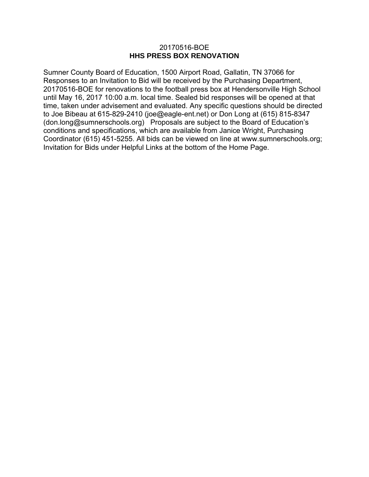### 20170516-BOE **HHS PRESS BOX RENOVATION**

Sumner County Board of Education, 1500 Airport Road, Gallatin, TN 37066 for Responses to an Invitation to Bid will be received by the Purchasing Department, 20170516-BOE for renovations to the football press box at Hendersonville High School until May 16, 2017 10:00 a.m. local time. Sealed bid responses will be opened at that time, taken under advisement and evaluated. Any specific questions should be directed to Joe Bibeau at 615-829-2410 (joe@eagle-ent.net) or Don Long at (615) 815-8347 (don.long@sumnerschools.org) Proposals are subject to the Board of Education's conditions and specifications, which are available from Janice Wright, Purchasing Coordinator (615) 451-5255. All bids can be viewed on line at www.sumnerschools.org; Invitation for Bids under Helpful Links at the bottom of the Home Page.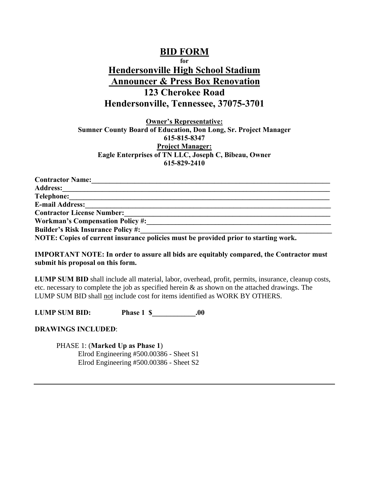# **BID FORM for Hendersonville High School Stadium Announcer & Press Box Renovation 123 Cherokee Road Hendersonville, Tennessee, 37075-3701**

**Owner's Representative: Sumner County Board of Education, Don Long, Sr. Project Manager 615-815-8347 Project Manager: Eagle Enterprises of TN LLC, Joseph C, Bibeau, Owner 615-829-2410**

| <b>Contractor Name:</b>                                                            |
|------------------------------------------------------------------------------------|
| <b>Address:</b>                                                                    |
| Telephone:                                                                         |
| <b>E-mail Address:</b>                                                             |
| <b>Contractor License Number:</b>                                                  |
| <b>Workman's Compensation Policy #:</b>                                            |
| <b>Builder's Risk Insurance Policy #:</b>                                          |
| NOTE: Copies of guypert insurance policies must be previded prior to starting work |

**NOTE: Copies of current insurance policies must be provided prior to starting work.**

#### **IMPORTANT NOTE: In order to assure all bids are equitably compared, the Contractor must submit his proposal on this form.**

**LUMP SUM BID** shall include all material, labor, overhead, profit, permits, insurance, cleanup costs, etc. necessary to complete the job as specified herein  $\&$  as shown on the attached drawings. The LUMP SUM BID shall not include cost for items identified as WORK BY OTHERS.

**LUMP SUM BID:** Phase 1 \$ .00

**DRAWINGS INCLUDED**:

PHASE 1: (**Marked Up as Phase 1**) Elrod Engineering #500.00386 - Sheet S1 Elrod Engineering #500.00386 - Sheet S2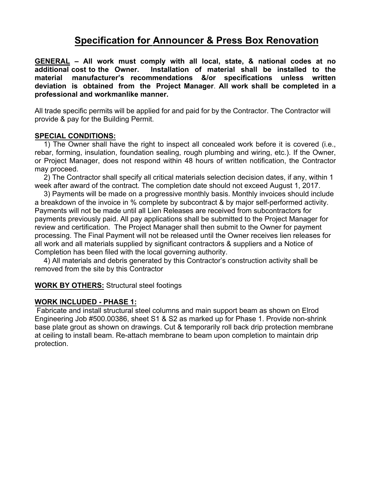# **Specification for Announcer & Press Box Renovation**

**GENERAL – All work must comply with all local, state, & national codes at no**  Installation of material shall be installed to the **material manufacturer's recommendations &/or specifications unless written deviation is obtained from the Project Manager**. **All work shall be completed in a professional and workmanlike manner.** 

All trade specific permits will be applied for and paid for by the Contractor. The Contractor will provide & pay for the Building Permit.

## **SPECIAL CONDITIONS:**

1) The Owner shall have the right to inspect all concealed work before it is covered (i.e., rebar, forming, insulation, foundation sealing, rough plumbing and wiring, etc.). If the Owner, or Project Manager, does not respond within 48 hours of written notification, the Contractor may proceed.

2) The Contractor shall specify all critical materials selection decision dates, if any, within 1 week after award of the contract. The completion date should not exceed August 1, 2017.

3) Payments will be made on a progressive monthly basis. Monthly invoices should include a breakdown of the invoice in % complete by subcontract & by major self-performed activity. Payments will not be made until all Lien Releases are received from subcontractors for payments previously paid. All pay applications shall be submitted to the Project Manager for review and certification. The Project Manager shall then submit to the Owner for payment processing. The Final Payment will not be released until the Owner receives lien releases for all work and all materials supplied by significant contractors & suppliers and a Notice of Completion has been filed with the local governing authority.

4) All materials and debris generated by this Contractor's construction activity shall be removed from the site by this Contractor

**WORK BY OTHERS:** Structural steel footings

### **WORK INCLUDED - PHASE 1:**

 Fabricate and install structural steel columns and main support beam as shown on Elrod Engineering Job #500.00386, sheet S1 & S2 as marked up for Phase 1. Provide non-shrink base plate grout as shown on drawings. Cut & temporarily roll back drip protection membrane at ceiling to install beam. Re-attach membrane to beam upon completion to maintain drip protection.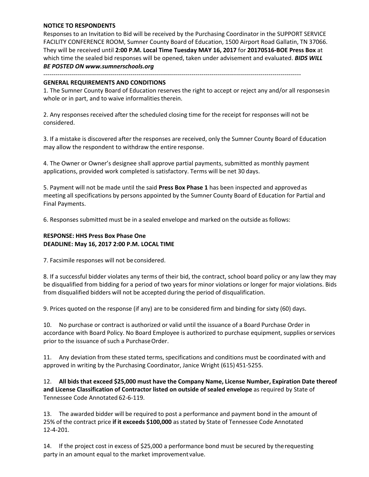#### **NOTICE TO RESPONDENTS**

Responses to an Invitation to Bid will be received by the Purchasing Coordinator in the SUPPORT SERVICE FACILITY CONFERENCE ROOM, Sumner County Board of Education, 1500 Airport Road Gallatin, TN 37066. They will be received until **2:00 P.M. Local Time Tuesday MAY 16, 2017** for **20170516-BOE Press Box** at which time the sealed bid responses will be opened, taken under advisement and evaluated. *BIDS WILL BE POSTED [ON www.sumnerschools.o](http://www.sumnerschools.org/)rg* 

-------------------------------------------------------------------------------------------------------------------------------

#### **GENERAL REQUIREMENTS AND CONDITIONS**

1. The Sumner County Board of Education reserves the right to accept or reject any and/or all responses in whole or in part, and to waive informalities therein.

2. Any responses received after the scheduled closing time for the receipt for responses will not be considered.

3. If a mistake is discovered after the responses are received, only the Sumner County Board of Education may allow the respondent to withdraw the entire response.

4. The Owner or Owner's designee shall approve partial payments, submitted as monthly payment applications, provided work completed is satisfactory. Terms will be net 30 days.

5. Payment will not be made until the said **Press Box Phase 1** has been inspected and approved as meeting all specifications by persons appointed by the Sumner County Board of Education for Partial and Final Payments.

6. Responses submitted must be in a sealed envelope and marked on the outside as follows:

#### **RESPONSE: HHS Press Box Phase One DEADLINE: May 16, 2017 2:00 P.M. LOCAL TIME**

7. Facsimile responses will not be considered.

8. If a successful bidder violates any terms of their bid, the contract, school board policy or any law they may be disqualified from bidding for a period of two years for minor violations or longer for major violations. Bids from disqualified bidders will not be accepted during the period of disqualification.

9. Prices quoted on the response (if any) are to be considered firm and binding for sixty (60) days.

10. No purchase or contract is authorized or valid until the issuance of a Board Purchase Order in accordance with Board Policy. No Board Employee is authorized to purchase equipment, supplies or services prior to the issuance of such a Purchase Order.

11. Any deviation from these stated terms, specifications and conditions must be coordinated with and approved in writing by the Purchasing Coordinator, Janice Wright (615) 451-5255.

12. **All bids that exceed \$25,000 must have the Company Name, License Number, Expiration Date thereof and License Classification of Contractor listed on outside of sealed envelope** as required by State of Tennessee Code Annotated 62-6-119.

13. The awarded bidder will be required to post a performance and payment bond in the amount of 25% of the contract price **if it exceeds \$100,000** as stated by State of Tennessee Code Annotated 12-4-201.

14. If the project cost in excess of \$25,000 a performance bond must be secured by the requesting party in an amount equal to the market improvement value.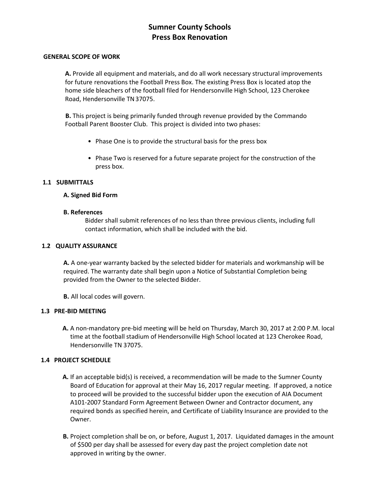# **Sumner County Schools Press Box Renovation**

#### **GENERAL SCOPE OF WORK**

**A.** Provide all equipment and materials, and do all work necessary structural improvements for future renovations the Football Press Box. The existing Press Box is located atop the home side bleachers of the football filed for Hendersonville High School, 123 Cherokee Road, Hendersonville TN 37075.

**B.** This project is being primarily funded through revenue provided by the Commando Football Parent Booster Club. This project is divided into two phases:

- Phase One is to provide the structural basis for the press box
- Phase Two is reserved for a future separate project for the construction of the press box.

#### **1.1 SUBMITTALS**

#### **A. Signed Bid Form**

#### **B. References**

Bidder shall submit references of no less than three previous clients, including full contact information, which shall be included with the bid.

#### **1.2 QUALITY ASSURANCE**

**A.** A one-year warranty backed by the selected bidder for materials and workmanship will be required. The warranty date shall begin upon a Notice of Substantial Completion being provided from the Owner to the selected Bidder.

**B.** All local codes will govern.

#### **1.3 PRE-BID MEETING**

**A.** A non-mandatory pre-bid meeting will be held on Thursday, March 30, 2017 at 2:00 P.M. local time at the football stadium of Hendersonville High School located at 123 Cherokee Road, Hendersonville TN 37075.

#### **1.4 PROJECT SCHEDULE**

- **A.** If an acceptable bid(s) is received, a recommendation will be made to the Sumner County Board of Education for approval at their May 16, 2017 regular meeting. If approved, a notice to proceed will be provided to the successful bidder upon the execution of AIA Document A101-2007 Standard Form Agreement Between Owner and Contractor document, any required bonds as specified herein, and Certificate of Liability Insurance are provided to the Owner.
- **B.** Project completion shall be on, or before, August 1, 2017. Liquidated damages in the amount of \$500 per day shall be assessed for every day past the project completion date not approved in writing by the owner.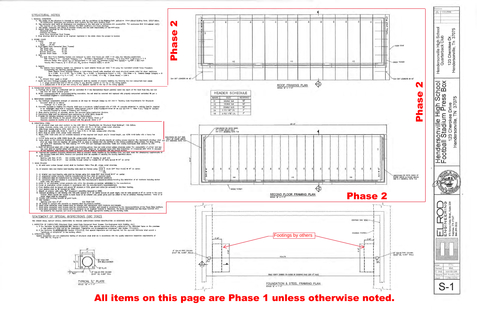